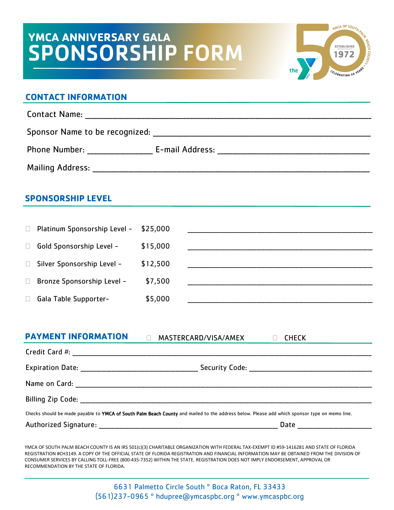# **YMCA ANNIVERSARY GALA** SPONSORSHIP FORM



#### **CONTACT INFORMATION**

Contact Name:  $\blacksquare$ Sponsor Name to be recognized: \_\_\_\_\_\_\_\_\_\_\_\_\_\_\_\_\_\_\_\_\_\_\_\_\_\_\_\_\_\_\_\_\_\_\_\_\_\_\_\_\_\_\_\_\_\_\_\_\_\_\_\_\_\_\_\_\_\_\_\_\_\_\_\_\_\_\_\_\_\_\_\_\_ Phone Number: The E-mail Address: E-mail E-mail Address:  $E$ -mail Address:  $E$ -mail Address:  $E$ -mail Address:  $E$ -mail Address:  $E$ -mail Address:  $E$ -mail Address:  $E$ -mail Address:  $E$ -mail Address:  $E$ -mail Address:  $E$ Mailing Address: \_\_\_\_\_\_\_\_\_\_\_\_\_\_\_\_\_\_\_\_\_\_\_\_\_\_\_\_\_\_\_\_\_\_\_\_\_\_\_\_\_\_\_\_\_\_\_\_\_\_\_\_\_\_\_\_\_\_\_\_\_\_\_\_\_\_\_\_\_\_\_\_\_\_\_\_\_\_\_\_\_\_\_\_\_\_\_\_\_\_\_\_\_

### **SPONSORSHIP LEVEL**

| $\Box$ | Platinum Sponsorship Level - | \$25,000 |  |
|--------|------------------------------|----------|--|
| $\Box$ | Gold Sponsorship Level -     | \$15,000 |  |
| $\Box$ | Silver Sponsorship Level -   | \$12,500 |  |
| $\Box$ | Bronze Sponsorship Level -   | \$7,500  |  |
| $\Box$ | Gala Table Supporter-        | \$5,000  |  |

## **PAYMENT INFORMATION** MASTERCARD/VISA/AMEX CHECK

| Checks should be made payable to YMCA of South Palm Beach County and mailed to the address below. Please add which sponsor type on memo line. |                                                                          |  |  |  |  |  |
|-----------------------------------------------------------------------------------------------------------------------------------------------|--------------------------------------------------------------------------|--|--|--|--|--|
|                                                                                                                                               | Date<br><u> 1986 - Johann Stein, mars an t-Amerikaansk kommunister (</u> |  |  |  |  |  |

YMCA OF SOUTH PALM BEACH COUNTY IS AN IRS 501(c)(3) CHARITABLE ORGANIZATION WITH FEDERAL TAX-EXEMPT ID #59-1416281 AND STATE OF FLORIDA REGISTRATION #CH3149. A COPY OF THE OFFICIAL STATE OF FLORIDA REGISTRATION AND FINANCIAL INFORMATION MAY BE OBTAINED FROM THE DIVISION OF CONSUMER SERVICES BY CALLING TOLL-FREE (800-435-7352) WITHIN THE STATE. REGISTRATION DOES NOT IMPLY ENDORSEMENT, APPROVAL OR RECOMMENDATION BY THE STATE OF FLORIDA.